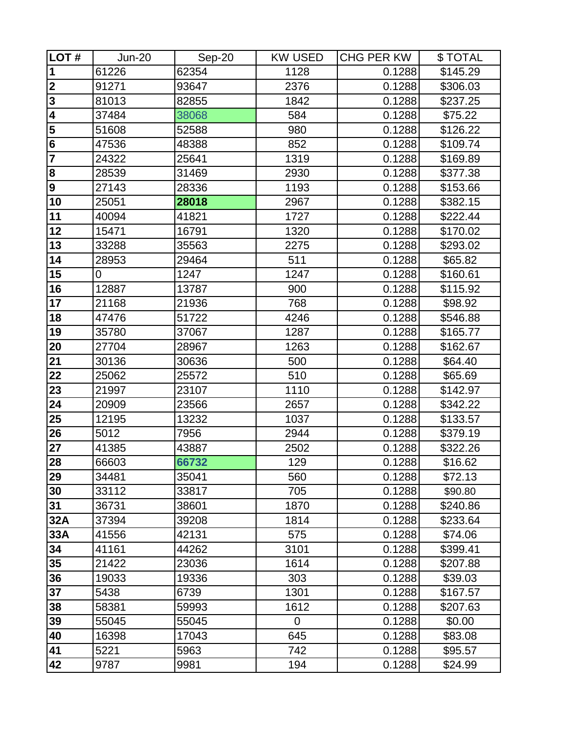| LOT#                    | <b>Jun-20</b> | Sep-20 | <b>KW USED</b> | <b>CHG PER KW</b> | \$TOTAL  |
|-------------------------|---------------|--------|----------------|-------------------|----------|
| 1                       | 61226         | 62354  | 1128           | 0.1288            | \$145.29 |
| $\mathbf{2}$            | 91271         | 93647  | 2376           | 0.1288            | \$306.03 |
| $\overline{\mathbf{3}}$ | 81013         | 82855  | 1842           | 0.1288            | \$237.25 |
| 4                       | 37484         | 38068  | 584            | 0.1288            | \$75.22  |
| 5                       | 51608         | 52588  | 980            | 0.1288            | \$126.22 |
| $6\phantom{1}$          | 47536         | 48388  | 852            | 0.1288            | \$109.74 |
| $\overline{\mathbf{7}}$ | 24322         | 25641  | 1319           | 0.1288            | \$169.89 |
| 8                       | 28539         | 31469  | 2930           | 0.1288            | \$377.38 |
| 9                       | 27143         | 28336  | 1193           | 0.1288            | \$153.66 |
| 10                      | 25051         | 28018  | 2967           | 0.1288            | \$382.15 |
| 11                      | 40094         | 41821  | 1727           | 0.1288            | \$222.44 |
| 12                      | 15471         | 16791  | 1320           | 0.1288            | \$170.02 |
| 13                      | 33288         | 35563  | 2275           | 0.1288            | \$293.02 |
| 14                      | 28953         | 29464  | 511            | 0.1288            | \$65.82  |
| 15                      | 0             | 1247   | 1247           | 0.1288            | \$160.61 |
| 16                      | 12887         | 13787  | 900            | 0.1288            | \$115.92 |
| 17                      | 21168         | 21936  | 768            | 0.1288            | \$98.92  |
| 18                      | 47476         | 51722  | 4246           | 0.1288            | \$546.88 |
| 19                      | 35780         | 37067  | 1287           | 0.1288            | \$165.77 |
| 20                      | 27704         | 28967  | 1263           | 0.1288            | \$162.67 |
| 21                      | 30136         | 30636  | 500            | 0.1288            | \$64.40  |
| 22                      | 25062         | 25572  | 510            | 0.1288            | \$65.69  |
| 23                      | 21997         | 23107  | 1110           | 0.1288            | \$142.97 |
| 24                      | 20909         | 23566  | 2657           | 0.1288            | \$342.22 |
| 25                      | 12195         | 13232  | 1037           | 0.1288            | \$133.57 |
| 26                      | 5012          | 7956   | 2944           | 0.1288            | \$379.19 |
| 27                      | 41385         | 43887  | 2502           | 0.1288            | \$322.26 |
| 28                      | 66603         | 66732  | 129            | 0.1288            | \$16.62  |
| 29                      | 34481         | 35041  | 560            | 0.1288            | \$72.13  |
| 30                      | 33112         | 33817  | 705            | 0.1288            | \$90.80  |
| 31                      | 36731         | 38601  | 1870           | 0.1288            | \$240.86 |
| 32A                     | 37394         | 39208  | 1814           | 0.1288            | \$233.64 |
| 33A                     | 41556         | 42131  | 575            | 0.1288            | \$74.06  |
| 34                      | 41161         | 44262  | 3101           | 0.1288            | \$399.41 |
| 35                      | 21422         | 23036  | 1614           | 0.1288            | \$207.88 |
| 36                      | 19033         | 19336  | 303            | 0.1288            | \$39.03  |
| 37                      | 5438          | 6739   | 1301           | 0.1288            | \$167.57 |
| 38                      | 58381         | 59993  | 1612           | 0.1288            | \$207.63 |
| 39                      | 55045         | 55045  | $\Omega$       | 0.1288            | \$0.00   |
| 40                      | 16398         | 17043  | 645            | 0.1288            | \$83.08  |
| 41                      | 5221          | 5963   | 742            | 0.1288            | \$95.57  |
| 42                      | 9787          | 9981   | 194            | 0.1288            | \$24.99  |
|                         |               |        |                |                   |          |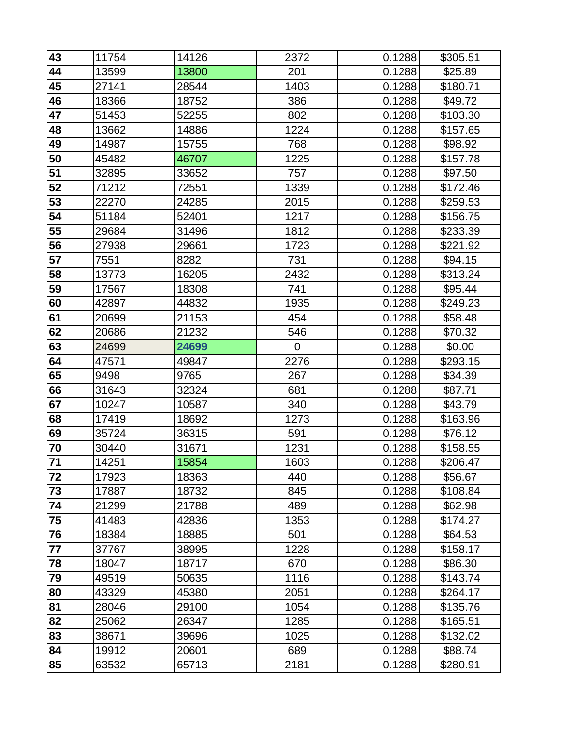| 43              | 11754 | 14126 | 2372           | 0.1288 | \$305.51 |
|-----------------|-------|-------|----------------|--------|----------|
| 44              | 13599 | 13800 | 201            | 0.1288 | \$25.89  |
| 45              | 27141 | 28544 | 1403           | 0.1288 | \$180.71 |
| 46              | 18366 | 18752 | 386            | 0.1288 | \$49.72  |
| 47              | 51453 | 52255 | 802            | 0.1288 | \$103.30 |
| 48              | 13662 | 14886 | 1224           | 0.1288 | \$157.65 |
| 49              | 14987 | 15755 | 768            | 0.1288 | \$98.92  |
| 50              | 45482 | 46707 | 1225           | 0.1288 | \$157.78 |
| 51              | 32895 | 33652 | 757            | 0.1288 | \$97.50  |
| 52              | 71212 | 72551 | 1339           | 0.1288 | \$172.46 |
| 53              | 22270 | 24285 | 2015           | 0.1288 | \$259.53 |
| 54              | 51184 | 52401 | 1217           | 0.1288 | \$156.75 |
| 55              | 29684 | 31496 | 1812           | 0.1288 | \$233.39 |
| 56              | 27938 | 29661 | 1723           | 0.1288 | \$221.92 |
| 57              | 7551  | 8282  | 731            | 0.1288 | \$94.15  |
| 58              | 13773 | 16205 | 2432           | 0.1288 | \$313.24 |
| 59              | 17567 | 18308 | 741            | 0.1288 | \$95.44  |
| 60              | 42897 | 44832 | 1935           | 0.1288 | \$249.23 |
| 61              | 20699 | 21153 | 454            | 0.1288 | \$58.48  |
| 62              | 20686 | 21232 | 546            | 0.1288 | \$70.32  |
| 63              | 24699 | 24699 | $\overline{0}$ | 0.1288 | \$0.00   |
| 64              | 47571 | 49847 | 2276           | 0.1288 | \$293.15 |
| 65              | 9498  | 9765  | 267            | 0.1288 | \$34.39  |
| 66              | 31643 | 32324 | 681            | 0.1288 | \$87.71  |
| 67              | 10247 | 10587 | 340            | 0.1288 | \$43.79  |
| 68              | 17419 | 18692 | 1273           | 0.1288 | \$163.96 |
| 69              | 35724 | 36315 | 591            | 0.1288 | \$76.12  |
| 70              | 30440 | 31671 | 1231           | 0.1288 | \$158.55 |
| $\overline{7}1$ | 14251 | 15854 | 1603           | 0.1288 | \$206.47 |
| $\overline{72}$ | 17923 | 18363 | 440            | 0.1288 | \$56.67  |
| 73              | 17887 | 18732 | 845            | 0.1288 | \$108.84 |
| 74              | 21299 | 21788 | 489            | 0.1288 | \$62.98  |
| 75              | 41483 | 42836 | 1353           | 0.1288 | \$174.27 |
| 76              | 18384 | 18885 | 501            | 0.1288 | \$64.53  |
| 77              | 37767 | 38995 | 1228           | 0.1288 | \$158.17 |
| 78              | 18047 | 18717 | 670            | 0.1288 | \$86.30  |
| 79              | 49519 | 50635 | 1116           | 0.1288 | \$143.74 |
| 80              | 43329 | 45380 | 2051           | 0.1288 | \$264.17 |
| 81              | 28046 | 29100 | 1054           | 0.1288 | \$135.76 |
| 82              | 25062 | 26347 | 1285           | 0.1288 | \$165.51 |
| 83              | 38671 | 39696 | 1025           | 0.1288 | \$132.02 |
| 84              | 19912 | 20601 | 689            | 0.1288 | \$88.74  |
| 85              | 63532 | 65713 | 2181           | 0.1288 | \$280.91 |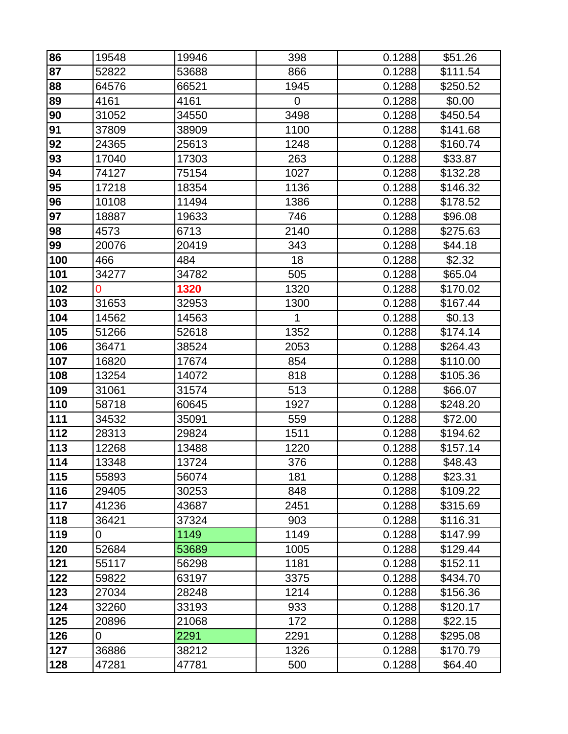| 86  | 19548          | 19946 | 398  | 0.1288 | \$51.26  |
|-----|----------------|-------|------|--------|----------|
| 87  | 52822          | 53688 | 866  | 0.1288 | \$111.54 |
| 88  | 64576          | 66521 | 1945 | 0.1288 | \$250.52 |
| 89  | 4161           | 4161  | 0    | 0.1288 | \$0.00   |
| 90  | 31052          | 34550 | 3498 | 0.1288 | \$450.54 |
| 91  | 37809          | 38909 | 1100 | 0.1288 | \$141.68 |
| 92  | 24365          | 25613 | 1248 | 0.1288 | \$160.74 |
| 93  | 17040          | 17303 | 263  | 0.1288 | \$33.87  |
| 94  | 74127          | 75154 | 1027 | 0.1288 | \$132.28 |
| 95  | 17218          | 18354 | 1136 | 0.1288 | \$146.32 |
| 96  | 10108          | 11494 | 1386 | 0.1288 | \$178.52 |
| 97  | 18887          | 19633 | 746  | 0.1288 | \$96.08  |
| 98  | 4573           | 6713  | 2140 | 0.1288 | \$275.63 |
| 99  | 20076          | 20419 | 343  | 0.1288 | \$44.18  |
| 100 | 466            | 484   | 18   | 0.1288 | \$2.32   |
| 101 | 34277          | 34782 | 505  | 0.1288 | \$65.04  |
| 102 | $\overline{0}$ | 1320  | 1320 | 0.1288 | \$170.02 |
| 103 | 31653          | 32953 | 1300 | 0.1288 | \$167.44 |
| 104 | 14562          | 14563 | 1    | 0.1288 | \$0.13   |
| 105 | 51266          | 52618 | 1352 | 0.1288 | \$174.14 |
| 106 | 36471          | 38524 | 2053 | 0.1288 | \$264.43 |
| 107 | 16820          | 17674 | 854  | 0.1288 | \$110.00 |
| 108 | 13254          | 14072 | 818  | 0.1288 | \$105.36 |
| 109 | 31061          | 31574 | 513  | 0.1288 | \$66.07  |
| 110 | 58718          | 60645 | 1927 | 0.1288 | \$248.20 |
| 111 | 34532          | 35091 | 559  | 0.1288 | \$72.00  |
| 112 | 28313          | 29824 | 1511 | 0.1288 | \$194.62 |
| 113 | 12268          | 13488 | 1220 | 0.1288 | \$157.14 |
| 114 | 13348          | 13724 | 376  | 0.1288 | \$48.43  |
| 115 | 55893          | 56074 | 181  | 0.1288 | \$23.31  |
| 116 | 29405          | 30253 | 848  | 0.1288 | \$109.22 |
| 117 | 41236          | 43687 | 2451 | 0.1288 | \$315.69 |
| 118 | 36421          | 37324 | 903  | 0.1288 | \$116.31 |
| 119 | 0              | 1149  | 1149 | 0.1288 | \$147.99 |
| 120 | 52684          | 53689 | 1005 | 0.1288 | \$129.44 |
| 121 | 55117          | 56298 | 1181 | 0.1288 | \$152.11 |
| 122 | 59822          | 63197 | 3375 | 0.1288 | \$434.70 |
| 123 | 27034          | 28248 | 1214 | 0.1288 | \$156.36 |
| 124 | 32260          | 33193 | 933  | 0.1288 | \$120.17 |
| 125 | 20896          | 21068 | 172  | 0.1288 | \$22.15  |
| 126 | 0              | 2291  | 2291 | 0.1288 | \$295.08 |
| 127 | 36886          | 38212 | 1326 | 0.1288 | \$170.79 |
| 128 | 47281          | 47781 | 500  | 0.1288 | \$64.40  |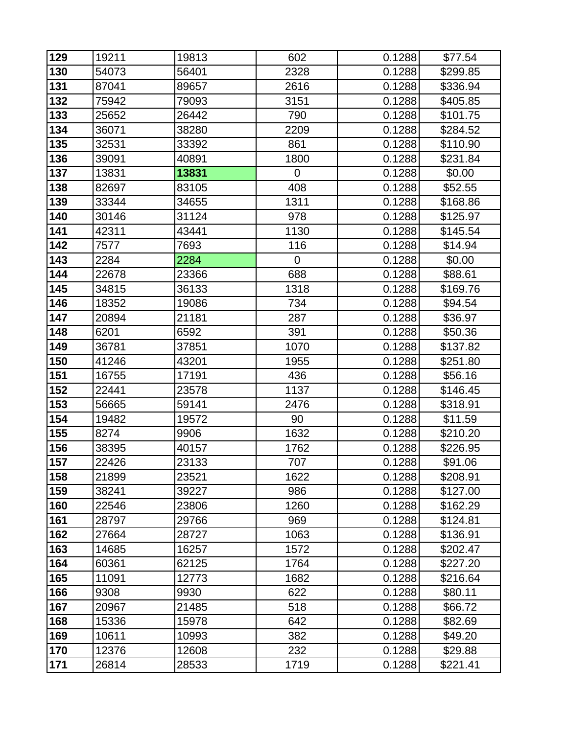| 129 | 19211 | 19813 | 602         | 0.1288 | \$77.54  |
|-----|-------|-------|-------------|--------|----------|
| 130 | 54073 | 56401 | 2328        | 0.1288 | \$299.85 |
| 131 | 87041 | 89657 | 2616        | 0.1288 | \$336.94 |
| 132 | 75942 | 79093 | 3151        | 0.1288 | \$405.85 |
| 133 | 25652 | 26442 | 790         | 0.1288 | \$101.75 |
| 134 | 36071 | 38280 | 2209        | 0.1288 | \$284.52 |
| 135 | 32531 | 33392 | 861         | 0.1288 | \$110.90 |
| 136 | 39091 | 40891 | 1800        | 0.1288 | \$231.84 |
| 137 | 13831 | 13831 | 0           | 0.1288 | \$0.00   |
| 138 | 82697 | 83105 | 408         | 0.1288 | \$52.55  |
| 139 | 33344 | 34655 | 1311        | 0.1288 | \$168.86 |
| 140 | 30146 | 31124 | 978         | 0.1288 | \$125.97 |
| 141 | 42311 | 43441 | 1130        | 0.1288 | \$145.54 |
| 142 | 7577  | 7693  | 116         | 0.1288 | \$14.94  |
| 143 | 2284  | 2284  | $\mathbf 0$ | 0.1288 | \$0.00   |
| 144 | 22678 | 23366 | 688         | 0.1288 | \$88.61  |
| 145 | 34815 | 36133 | 1318        | 0.1288 | \$169.76 |
| 146 | 18352 | 19086 | 734         | 0.1288 | \$94.54  |
| 147 | 20894 | 21181 | 287         | 0.1288 | \$36.97  |
| 148 | 6201  | 6592  | 391         | 0.1288 | \$50.36  |
| 149 | 36781 | 37851 | 1070        | 0.1288 | \$137.82 |
| 150 | 41246 | 43201 | 1955        | 0.1288 | \$251.80 |
| 151 | 16755 | 17191 | 436         | 0.1288 | \$56.16  |
| 152 | 22441 | 23578 | 1137        | 0.1288 | \$146.45 |
| 153 | 56665 | 59141 | 2476        | 0.1288 | \$318.91 |
| 154 | 19482 | 19572 | 90          | 0.1288 | \$11.59  |
| 155 | 8274  | 9906  | 1632        | 0.1288 | \$210.20 |
| 156 | 38395 | 40157 | 1762        | 0.1288 | \$226.95 |
| 157 | 22426 | 23133 | 707         | 0.1288 | \$91.06  |
| 158 | 21899 | 23521 | 1622        | 0.1288 | \$208.91 |
| 159 | 38241 | 39227 | 986         | 0.1288 | \$127.00 |
| 160 | 22546 | 23806 | 1260        | 0.1288 | \$162.29 |
| 161 | 28797 | 29766 | 969         | 0.1288 | \$124.81 |
| 162 | 27664 | 28727 | 1063        | 0.1288 | \$136.91 |
| 163 | 14685 | 16257 | 1572        | 0.1288 | \$202.47 |
| 164 | 60361 | 62125 | 1764        | 0.1288 | \$227.20 |
| 165 | 11091 | 12773 | 1682        | 0.1288 | \$216.64 |
| 166 | 9308  | 9930  | 622         | 0.1288 | \$80.11  |
| 167 | 20967 | 21485 | 518         | 0.1288 | \$66.72  |
| 168 | 15336 | 15978 | 642         | 0.1288 | \$82.69  |
| 169 | 10611 | 10993 | 382         | 0.1288 | \$49.20  |
| 170 | 12376 | 12608 | 232         | 0.1288 | \$29.88  |
| 171 | 26814 | 28533 | 1719        | 0.1288 | \$221.41 |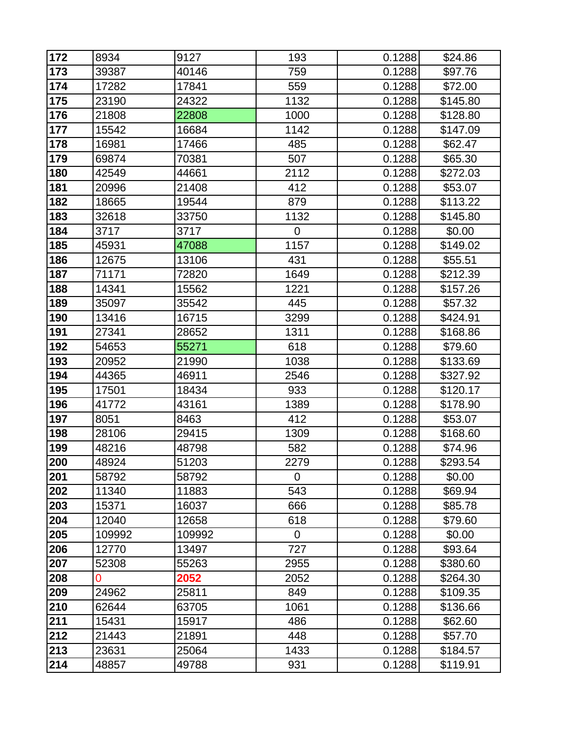| 172 | 8934   | 9127   | 193            | 0.1288 | \$24.86  |
|-----|--------|--------|----------------|--------|----------|
| 173 | 39387  | 40146  | 759            | 0.1288 | \$97.76  |
| 174 | 17282  | 17841  | 559            | 0.1288 | \$72.00  |
| 175 | 23190  | 24322  | 1132           | 0.1288 | \$145.80 |
| 176 | 21808  | 22808  | 1000           | 0.1288 | \$128.80 |
| 177 | 15542  | 16684  | 1142           | 0.1288 | \$147.09 |
| 178 | 16981  | 17466  | 485            | 0.1288 | \$62.47  |
| 179 | 69874  | 70381  | 507            | 0.1288 | \$65.30  |
| 180 | 42549  | 44661  | 2112           | 0.1288 | \$272.03 |
| 181 | 20996  | 21408  | 412            | 0.1288 | \$53.07  |
| 182 | 18665  | 19544  | 879            | 0.1288 | \$113.22 |
| 183 | 32618  | 33750  | 1132           | 0.1288 | \$145.80 |
| 184 | 3717   | 3717   | $\mathbf 0$    | 0.1288 | \$0.00   |
| 185 | 45931  | 47088  | 1157           | 0.1288 | \$149.02 |
| 186 | 12675  | 13106  | 431            | 0.1288 | \$55.51  |
| 187 | 71171  | 72820  | 1649           | 0.1288 | \$212.39 |
| 188 | 14341  | 15562  | 1221           | 0.1288 | \$157.26 |
| 189 | 35097  | 35542  | 445            | 0.1288 | \$57.32  |
| 190 | 13416  | 16715  | 3299           | 0.1288 | \$424.91 |
| 191 | 27341  | 28652  | 1311           | 0.1288 | \$168.86 |
| 192 | 54653  | 55271  | 618            | 0.1288 | \$79.60  |
| 193 | 20952  | 21990  | 1038           | 0.1288 | \$133.69 |
| 194 | 44365  | 46911  | 2546           | 0.1288 | \$327.92 |
| 195 | 17501  | 18434  | 933            | 0.1288 | \$120.17 |
| 196 | 41772  | 43161  | 1389           | 0.1288 | \$178.90 |
| 197 | 8051   | 8463   | 412            | 0.1288 | \$53.07  |
| 198 | 28106  | 29415  | 1309           | 0.1288 | \$168.60 |
| 199 | 48216  | 48798  | 582            | 0.1288 | \$74.96  |
| 200 | 48924  | 51203  | 2279           | 0.1288 | \$293.54 |
| 201 | 58792  | 58792  | $\overline{0}$ | 0.1288 | \$0.00   |
| 202 | 11340  | 11883  | 543            | 0.1288 | \$69.94  |
| 203 | 15371  | 16037  | 666            | 0.1288 | \$85.78  |
| 204 | 12040  | 12658  | 618            | 0.1288 | \$79.60  |
| 205 | 109992 | 109992 | 0              | 0.1288 | \$0.00   |
| 206 | 12770  | 13497  | 727            | 0.1288 | \$93.64  |
| 207 | 52308  | 55263  | 2955           | 0.1288 | \$380.60 |
| 208 | 0      | 2052   | 2052           | 0.1288 | \$264.30 |
| 209 | 24962  | 25811  | 849            | 0.1288 | \$109.35 |
| 210 | 62644  | 63705  | 1061           | 0.1288 | \$136.66 |
| 211 | 15431  | 15917  | 486            | 0.1288 | \$62.60  |
| 212 | 21443  | 21891  | 448            | 0.1288 | \$57.70  |
| 213 | 23631  | 25064  | 1433           | 0.1288 | \$184.57 |
| 214 | 48857  | 49788  | 931            | 0.1288 | \$119.91 |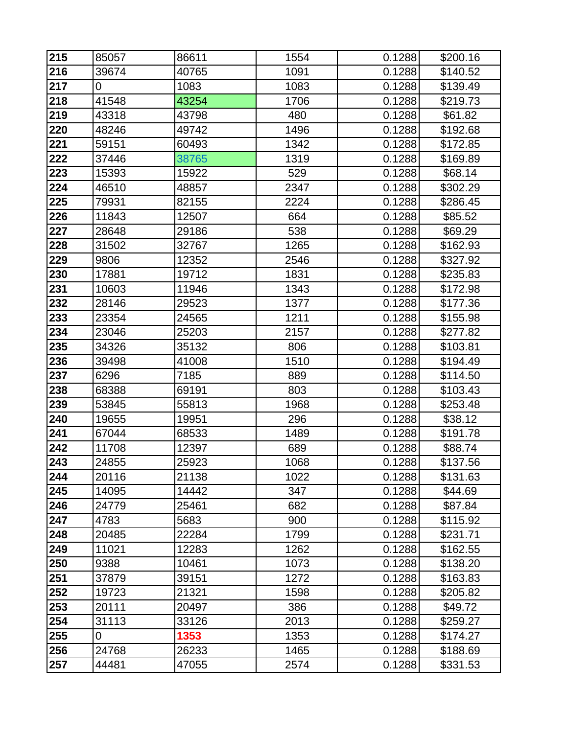| 215 | 85057          | 86611 | 1554 | 0.1288 | \$200.16 |
|-----|----------------|-------|------|--------|----------|
| 216 | 39674          | 40765 | 1091 | 0.1288 | \$140.52 |
| 217 | $\overline{0}$ | 1083  | 1083 | 0.1288 | \$139.49 |
| 218 | 41548          | 43254 | 1706 | 0.1288 | \$219.73 |
| 219 | 43318          | 43798 | 480  | 0.1288 | \$61.82  |
| 220 | 48246          | 49742 | 1496 | 0.1288 | \$192.68 |
| 221 | 59151          | 60493 | 1342 | 0.1288 | \$172.85 |
| 222 | 37446          | 38765 | 1319 | 0.1288 | \$169.89 |
| 223 | 15393          | 15922 | 529  | 0.1288 | \$68.14  |
| 224 | 46510          | 48857 | 2347 | 0.1288 | \$302.29 |
| 225 | 79931          | 82155 | 2224 | 0.1288 | \$286.45 |
| 226 | 11843          | 12507 | 664  | 0.1288 | \$85.52  |
| 227 | 28648          | 29186 | 538  | 0.1288 | \$69.29  |
| 228 | 31502          | 32767 | 1265 | 0.1288 | \$162.93 |
| 229 | 9806           | 12352 | 2546 | 0.1288 | \$327.92 |
| 230 | 17881          | 19712 | 1831 | 0.1288 | \$235.83 |
| 231 | 10603          | 11946 | 1343 | 0.1288 | \$172.98 |
| 232 | 28146          | 29523 | 1377 | 0.1288 | \$177.36 |
| 233 | 23354          | 24565 | 1211 | 0.1288 | \$155.98 |
| 234 | 23046          | 25203 | 2157 | 0.1288 | \$277.82 |
| 235 | 34326          | 35132 | 806  | 0.1288 | \$103.81 |
| 236 | 39498          | 41008 | 1510 | 0.1288 | \$194.49 |
| 237 | 6296           | 7185  | 889  | 0.1288 | \$114.50 |
| 238 | 68388          | 69191 | 803  | 0.1288 | \$103.43 |
| 239 | 53845          | 55813 | 1968 | 0.1288 | \$253.48 |
| 240 | 19655          | 19951 | 296  | 0.1288 | \$38.12  |
| 241 | 67044          | 68533 | 1489 | 0.1288 | \$191.78 |
| 242 | 11708          | 12397 | 689  | 0.1288 | \$88.74  |
| 243 | 24855          | 25923 | 1068 | 0.1288 | \$137.56 |
| 244 | 20116          | 21138 | 1022 | 0.1288 | \$131.63 |
| 245 | 14095          | 14442 | 347  | 0.1288 | \$44.69  |
| 246 | 24779          | 25461 | 682  | 0.1288 | \$87.84  |
| 247 | 4783           | 5683  | 900  | 0.1288 | \$115.92 |
| 248 | 20485          | 22284 | 1799 | 0.1288 | \$231.71 |
| 249 | 11021          | 12283 | 1262 | 0.1288 | \$162.55 |
| 250 | 9388           | 10461 | 1073 | 0.1288 | \$138.20 |
| 251 | 37879          | 39151 | 1272 | 0.1288 | \$163.83 |
| 252 | 19723          | 21321 | 1598 | 0.1288 | \$205.82 |
| 253 | 20111          | 20497 | 386  | 0.1288 | \$49.72  |
| 254 | 31113          | 33126 | 2013 | 0.1288 | \$259.27 |
| 255 | 0              | 1353  | 1353 | 0.1288 | \$174.27 |
| 256 | 24768          | 26233 | 1465 | 0.1288 | \$188.69 |
| 257 | 44481          | 47055 | 2574 | 0.1288 | \$331.53 |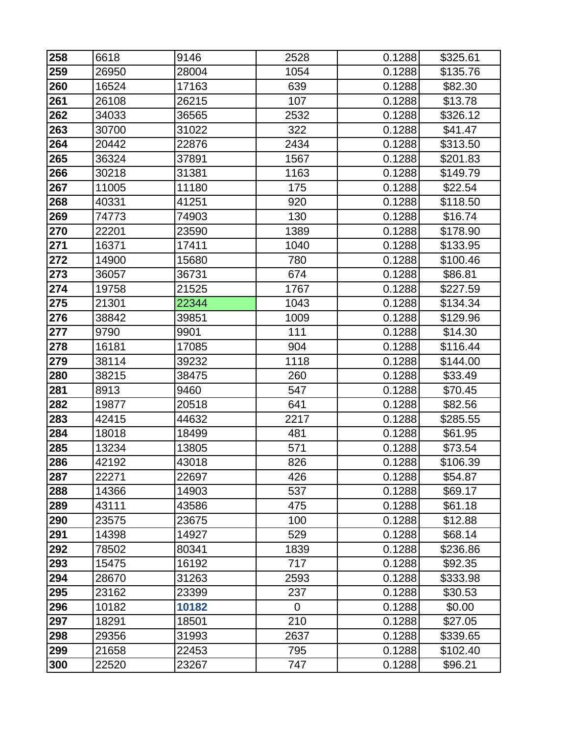| 258 | 6618  | 9146  | 2528           | 0.1288 | \$325.61 |
|-----|-------|-------|----------------|--------|----------|
| 259 | 26950 | 28004 | 1054           | 0.1288 | \$135.76 |
| 260 | 16524 | 17163 | 639            | 0.1288 | \$82.30  |
| 261 | 26108 | 26215 | 107            | 0.1288 | \$13.78  |
| 262 | 34033 | 36565 | 2532           | 0.1288 | \$326.12 |
| 263 | 30700 | 31022 | 322            | 0.1288 | \$41.47  |
| 264 | 20442 | 22876 | 2434           | 0.1288 | \$313.50 |
| 265 | 36324 | 37891 | 1567           | 0.1288 | \$201.83 |
| 266 | 30218 | 31381 | 1163           | 0.1288 | \$149.79 |
| 267 | 11005 | 11180 | 175            | 0.1288 | \$22.54  |
| 268 | 40331 | 41251 | 920            | 0.1288 | \$118.50 |
| 269 | 74773 | 74903 | 130            | 0.1288 | \$16.74  |
| 270 | 22201 | 23590 | 1389           | 0.1288 | \$178.90 |
| 271 | 16371 | 17411 | 1040           | 0.1288 | \$133.95 |
| 272 | 14900 | 15680 | 780            | 0.1288 | \$100.46 |
| 273 | 36057 | 36731 | 674            | 0.1288 | \$86.81  |
| 274 | 19758 | 21525 | 1767           | 0.1288 | \$227.59 |
| 275 | 21301 | 22344 | 1043           | 0.1288 | \$134.34 |
| 276 | 38842 | 39851 | 1009           | 0.1288 | \$129.96 |
| 277 | 9790  | 9901  | 111            | 0.1288 | \$14.30  |
| 278 | 16181 | 17085 | 904            | 0.1288 | \$116.44 |
| 279 | 38114 | 39232 | 1118           | 0.1288 | \$144.00 |
| 280 | 38215 | 38475 | 260            | 0.1288 | \$33.49  |
| 281 | 8913  | 9460  | 547            | 0.1288 | \$70.45  |
| 282 | 19877 | 20518 | 641            | 0.1288 | \$82.56  |
| 283 | 42415 | 44632 | 2217           | 0.1288 | \$285.55 |
| 284 | 18018 | 18499 | 481            | 0.1288 | \$61.95  |
| 285 | 13234 | 13805 | 571            | 0.1288 | \$73.54  |
| 286 | 42192 | 43018 | 826            | 0.1288 | \$106.39 |
| 287 | 22271 | 22697 | 426            | 0.1288 | \$54.87  |
| 288 | 14366 | 14903 | 537            | 0.1288 | \$69.17  |
| 289 | 43111 | 43586 | 475            | 0.1288 | \$61.18  |
| 290 | 23575 | 23675 | 100            | 0.1288 | \$12.88  |
| 291 | 14398 | 14927 | 529            | 0.1288 | \$68.14  |
| 292 | 78502 | 80341 | 1839           | 0.1288 | \$236.86 |
| 293 | 15475 | 16192 | 717            | 0.1288 | \$92.35  |
| 294 | 28670 | 31263 | 2593           | 0.1288 | \$333.98 |
| 295 | 23162 | 23399 | 237            | 0.1288 | \$30.53  |
| 296 | 10182 | 10182 | $\overline{0}$ | 0.1288 | \$0.00   |
| 297 | 18291 | 18501 | 210            | 0.1288 | \$27.05  |
| 298 | 29356 | 31993 | 2637           | 0.1288 | \$339.65 |
| 299 | 21658 | 22453 | 795            | 0.1288 | \$102.40 |
| 300 | 22520 | 23267 | 747            | 0.1288 | \$96.21  |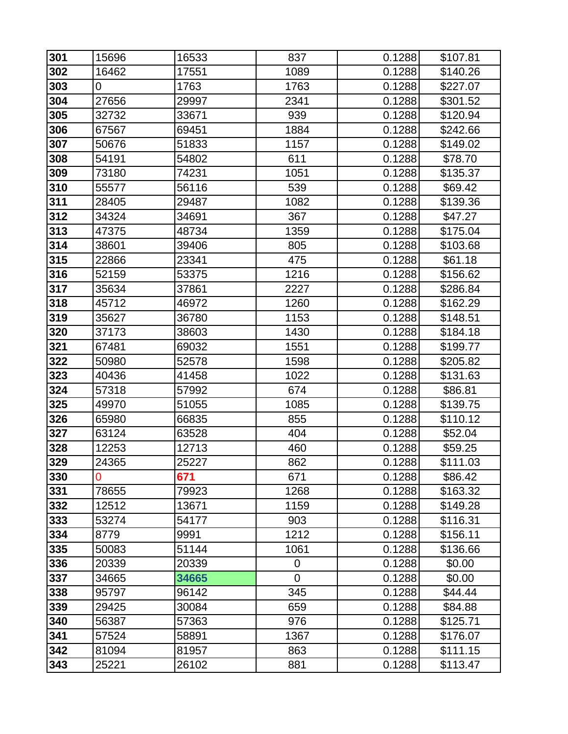| 301 | 15696 | 16533 | 837         | 0.1288 | \$107.81 |
|-----|-------|-------|-------------|--------|----------|
| 302 | 16462 | 17551 | 1089        | 0.1288 | \$140.26 |
| 303 | 0     | 1763  | 1763        | 0.1288 | \$227.07 |
| 304 | 27656 | 29997 | 2341        | 0.1288 | \$301.52 |
| 305 | 32732 | 33671 | 939         | 0.1288 | \$120.94 |
| 306 | 67567 | 69451 | 1884        | 0.1288 | \$242.66 |
| 307 | 50676 | 51833 | 1157        | 0.1288 | \$149.02 |
| 308 | 54191 | 54802 | 611         | 0.1288 | \$78.70  |
| 309 | 73180 | 74231 | 1051        | 0.1288 | \$135.37 |
| 310 | 55577 | 56116 | 539         | 0.1288 | \$69.42  |
| 311 | 28405 | 29487 | 1082        | 0.1288 | \$139.36 |
| 312 | 34324 | 34691 | 367         | 0.1288 | \$47.27  |
| 313 | 47375 | 48734 | 1359        | 0.1288 | \$175.04 |
| 314 | 38601 | 39406 | 805         | 0.1288 | \$103.68 |
| 315 | 22866 | 23341 | 475         | 0.1288 | \$61.18  |
| 316 | 52159 | 53375 | 1216        | 0.1288 | \$156.62 |
| 317 | 35634 | 37861 | 2227        | 0.1288 | \$286.84 |
| 318 | 45712 | 46972 | 1260        | 0.1288 | \$162.29 |
| 319 | 35627 | 36780 | 1153        | 0.1288 | \$148.51 |
| 320 | 37173 | 38603 | 1430        | 0.1288 | \$184.18 |
| 321 | 67481 | 69032 | 1551        | 0.1288 | \$199.77 |
| 322 | 50980 | 52578 | 1598        | 0.1288 | \$205.82 |
| 323 | 40436 | 41458 | 1022        | 0.1288 | \$131.63 |
| 324 | 57318 | 57992 | 674         | 0.1288 | \$86.81  |
| 325 | 49970 | 51055 | 1085        | 0.1288 | \$139.75 |
| 326 | 65980 | 66835 | 855         | 0.1288 | \$110.12 |
| 327 | 63124 | 63528 | 404         | 0.1288 | \$52.04  |
| 328 | 12253 | 12713 | 460         | 0.1288 | \$59.25  |
| 329 | 24365 | 25227 | 862         | 0.1288 | \$111.03 |
| 330 | 0     | 671   | 671         | 0.1288 | \$86.42  |
| 331 | 78655 | 79923 | 1268        | 0.1288 | \$163.32 |
| 332 | 12512 | 13671 | 1159        | 0.1288 | \$149.28 |
| 333 | 53274 | 54177 | 903         | 0.1288 | \$116.31 |
| 334 | 8779  | 9991  | 1212        | 0.1288 | \$156.11 |
| 335 | 50083 | 51144 | 1061        | 0.1288 | \$136.66 |
| 336 | 20339 | 20339 | 0           | 0.1288 | \$0.00   |
| 337 | 34665 | 34665 | $\mathbf 0$ | 0.1288 | \$0.00   |
| 338 | 95797 | 96142 | 345         | 0.1288 | \$44.44  |
| 339 | 29425 | 30084 | 659         | 0.1288 | \$84.88  |
| 340 | 56387 | 57363 | 976         | 0.1288 | \$125.71 |
| 341 | 57524 | 58891 | 1367        | 0.1288 | \$176.07 |
| 342 | 81094 | 81957 | 863         | 0.1288 | \$111.15 |
| 343 | 25221 | 26102 | 881         | 0.1288 | \$113.47 |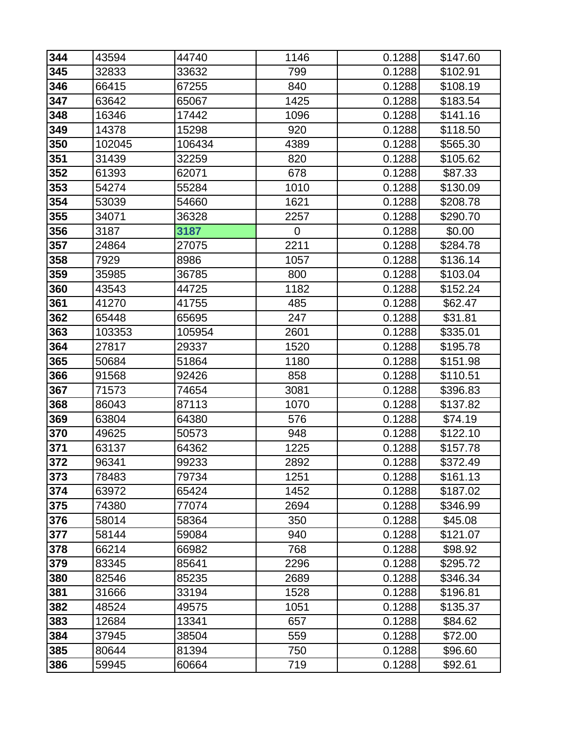| 344 | 43594  | 44740  | 1146 | 0.1288 | \$147.60 |
|-----|--------|--------|------|--------|----------|
| 345 | 32833  | 33632  | 799  | 0.1288 | \$102.91 |
| 346 | 66415  | 67255  | 840  | 0.1288 | \$108.19 |
| 347 | 63642  | 65067  | 1425 | 0.1288 | \$183.54 |
| 348 | 16346  | 17442  | 1096 | 0.1288 | \$141.16 |
| 349 | 14378  | 15298  | 920  | 0.1288 | \$118.50 |
| 350 | 102045 | 106434 | 4389 | 0.1288 | \$565.30 |
| 351 | 31439  | 32259  | 820  | 0.1288 | \$105.62 |
| 352 | 61393  | 62071  | 678  | 0.1288 | \$87.33  |
| 353 | 54274  | 55284  | 1010 | 0.1288 | \$130.09 |
| 354 | 53039  | 54660  | 1621 | 0.1288 | \$208.78 |
| 355 | 34071  | 36328  | 2257 | 0.1288 | \$290.70 |
| 356 | 3187   | 3187   | 0    | 0.1288 | \$0.00   |
| 357 | 24864  | 27075  | 2211 | 0.1288 | \$284.78 |
| 358 | 7929   | 8986   | 1057 | 0.1288 | \$136.14 |
| 359 | 35985  | 36785  | 800  | 0.1288 | \$103.04 |
| 360 | 43543  | 44725  | 1182 | 0.1288 | \$152.24 |
| 361 | 41270  | 41755  | 485  | 0.1288 | \$62.47  |
| 362 | 65448  | 65695  | 247  | 0.1288 | \$31.81  |
| 363 | 103353 | 105954 | 2601 | 0.1288 | \$335.01 |
| 364 | 27817  | 29337  | 1520 | 0.1288 | \$195.78 |
| 365 | 50684  | 51864  | 1180 | 0.1288 | \$151.98 |
| 366 | 91568  | 92426  | 858  | 0.1288 | \$110.51 |
| 367 | 71573  | 74654  | 3081 | 0.1288 | \$396.83 |
| 368 | 86043  | 87113  | 1070 | 0.1288 | \$137.82 |
| 369 | 63804  | 64380  | 576  | 0.1288 | \$74.19  |
| 370 | 49625  | 50573  | 948  | 0.1288 | \$122.10 |
| 371 | 63137  | 64362  | 1225 | 0.1288 | \$157.78 |
| 372 | 96341  | 99233  | 2892 | 0.1288 | \$372.49 |
| 373 | 78483  | 79734  | 1251 | 0.1288 | \$161.13 |
| 374 | 63972  | 65424  | 1452 | 0.1288 | \$187.02 |
| 375 | 74380  | 77074  | 2694 | 0.1288 | \$346.99 |
| 376 | 58014  | 58364  | 350  | 0.1288 | \$45.08  |
| 377 | 58144  | 59084  | 940  | 0.1288 | \$121.07 |
| 378 | 66214  | 66982  | 768  | 0.1288 | \$98.92  |
| 379 | 83345  | 85641  | 2296 | 0.1288 | \$295.72 |
| 380 | 82546  | 85235  | 2689 | 0.1288 | \$346.34 |
| 381 | 31666  | 33194  | 1528 | 0.1288 | \$196.81 |
| 382 | 48524  | 49575  | 1051 | 0.1288 | \$135.37 |
| 383 | 12684  | 13341  | 657  | 0.1288 | \$84.62  |
| 384 | 37945  | 38504  | 559  | 0.1288 | \$72.00  |
| 385 | 80644  | 81394  | 750  | 0.1288 | \$96.60  |
| 386 | 59945  | 60664  | 719  | 0.1288 | \$92.61  |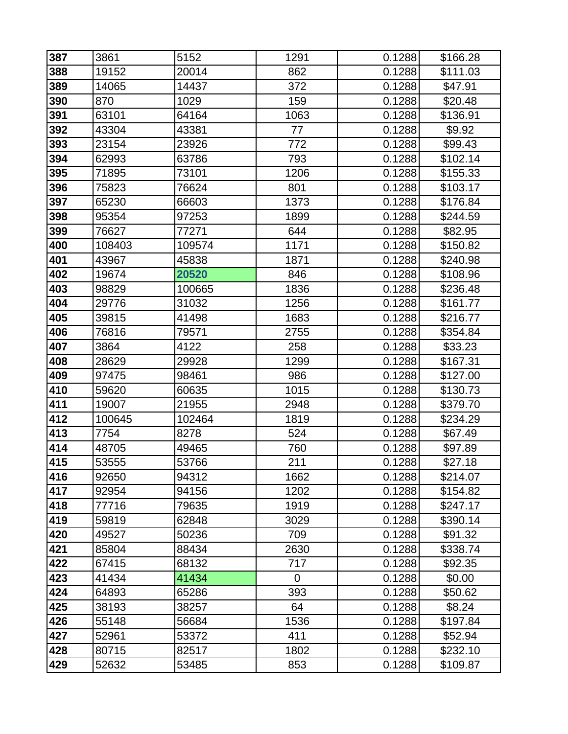| 387 | 3861   | 5152   | 1291           | 0.1288 | \$166.28 |
|-----|--------|--------|----------------|--------|----------|
| 388 | 19152  | 20014  | 862            | 0.1288 | \$111.03 |
| 389 | 14065  | 14437  | 372            | 0.1288 | \$47.91  |
| 390 | 870    | 1029   | 159            | 0.1288 | \$20.48  |
| 391 | 63101  | 64164  | 1063           | 0.1288 | \$136.91 |
| 392 | 43304  | 43381  | 77             | 0.1288 | \$9.92   |
| 393 | 23154  | 23926  | 772            | 0.1288 | \$99.43  |
| 394 | 62993  | 63786  | 793            | 0.1288 | \$102.14 |
| 395 | 71895  | 73101  | 1206           | 0.1288 | \$155.33 |
| 396 | 75823  | 76624  | 801            | 0.1288 | \$103.17 |
| 397 | 65230  | 66603  | 1373           | 0.1288 | \$176.84 |
| 398 | 95354  | 97253  | 1899           | 0.1288 | \$244.59 |
| 399 | 76627  | 77271  | 644            | 0.1288 | \$82.95  |
| 400 | 108403 | 109574 | 1171           | 0.1288 | \$150.82 |
| 401 | 43967  | 45838  | 1871           | 0.1288 | \$240.98 |
| 402 | 19674  | 20520  | 846            | 0.1288 | \$108.96 |
| 403 | 98829  | 100665 | 1836           | 0.1288 | \$236.48 |
| 404 | 29776  | 31032  | 1256           | 0.1288 | \$161.77 |
| 405 | 39815  | 41498  | 1683           | 0.1288 | \$216.77 |
| 406 | 76816  | 79571  | 2755           | 0.1288 | \$354.84 |
| 407 | 3864   | 4122   | 258            | 0.1288 | \$33.23  |
| 408 | 28629  | 29928  | 1299           | 0.1288 | \$167.31 |
| 409 | 97475  | 98461  | 986            | 0.1288 | \$127.00 |
| 410 | 59620  | 60635  | 1015           | 0.1288 | \$130.73 |
| 411 | 19007  | 21955  | 2948           | 0.1288 | \$379.70 |
| 412 | 100645 | 102464 | 1819           | 0.1288 | \$234.29 |
| 413 | 7754   | 8278   | 524            | 0.1288 | \$67.49  |
| 414 | 48705  | 49465  | 760            | 0.1288 | \$97.89  |
| 415 | 53555  | 53766  | 211            | 0.1288 | \$27.18  |
| 416 | 92650  | 94312  | 1662           | 0.1288 | \$214.07 |
| 417 | 92954  | 94156  | 1202           | 0.1288 | \$154.82 |
| 418 | 77716  | 79635  | 1919           | 0.1288 | \$247.17 |
| 419 | 59819  | 62848  | 3029           | 0.1288 | \$390.14 |
| 420 | 49527  | 50236  | 709            | 0.1288 | \$91.32  |
| 421 | 85804  | 88434  | 2630           | 0.1288 | \$338.74 |
| 422 | 67415  | 68132  | 717            | 0.1288 | \$92.35  |
| 423 | 41434  | 41434  | $\overline{0}$ | 0.1288 | \$0.00   |
| 424 | 64893  | 65286  | 393            | 0.1288 | \$50.62  |
| 425 | 38193  | 38257  | 64             | 0.1288 | \$8.24   |
| 426 | 55148  | 56684  | 1536           | 0.1288 | \$197.84 |
| 427 | 52961  | 53372  | 411            | 0.1288 | \$52.94  |
| 428 | 80715  | 82517  | 1802           | 0.1288 | \$232.10 |
| 429 | 52632  | 53485  | 853            | 0.1288 | \$109.87 |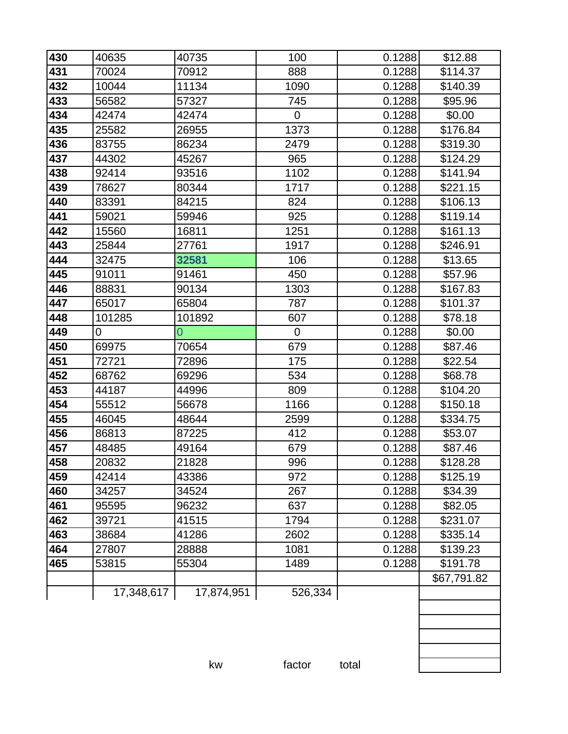| 430 | 40635      | 40735      | 100            | 0.1288 | \$12.88     |
|-----|------------|------------|----------------|--------|-------------|
| 431 | 70024      | 70912      | 888            | 0.1288 | \$114.37    |
| 432 | 10044      | 11134      | 1090           | 0.1288 | \$140.39    |
| 433 | 56582      | 57327      | 745            | 0.1288 | \$95.96     |
| 434 | 42474      | 42474      | $\overline{0}$ | 0.1288 | \$0.00      |
| 435 | 25582      | 26955      | 1373           | 0.1288 | \$176.84    |
| 436 | 83755      | 86234      | 2479           | 0.1288 | \$319.30    |
| 437 | 44302      | 45267      | 965            | 0.1288 | \$124.29    |
| 438 | 92414      | 93516      | 1102           | 0.1288 | \$141.94    |
| 439 | 78627      | 80344      | 1717           | 0.1288 | \$221.15    |
| 440 | 83391      | 84215      | 824            | 0.1288 | \$106.13    |
| 441 | 59021      | 59946      | 925            | 0.1288 | \$119.14    |
| 442 | 15560      | 16811      | 1251           | 0.1288 | \$161.13    |
| 443 | 25844      | 27761      | 1917           | 0.1288 | \$246.91    |
| 444 | 32475      | 32581      | 106            | 0.1288 | \$13.65     |
| 445 | 91011      | 91461      | 450            | 0.1288 | \$57.96     |
| 446 | 88831      | 90134      | 1303           | 0.1288 | \$167.83    |
| 447 | 65017      | 65804      | 787            | 0.1288 | \$101.37    |
| 448 | 101285     | 101892     | 607            | 0.1288 | \$78.18     |
| 449 | 0          | 0          | $\mathbf 0$    | 0.1288 | \$0.00      |
| 450 | 69975      | 70654      | 679            | 0.1288 | \$87.46     |
| 451 | 72721      | 72896      | 175            | 0.1288 | \$22.54     |
| 452 | 68762      | 69296      | 534            | 0.1288 | \$68.78     |
| 453 | 44187      | 44996      | 809            | 0.1288 | \$104.20    |
| 454 | 55512      | 56678      | 1166           | 0.1288 | \$150.18    |
| 455 | 46045      | 48644      | 2599           | 0.1288 | \$334.75    |
| 456 | 86813      | 87225      | 412            | 0.1288 | \$53.07     |
| 457 | 48485      | 49164      | 679            | 0.1288 | \$87.46     |
| 458 | 20832      | 21828      | 996            | 0.1288 | \$128.28    |
| 459 | 42414      | 43386      | 972            | 0.1288 | \$125.19    |
| 460 | 34257      | 34524      | 267            | 0.1288 | \$34.39     |
| 461 | 95595      | 96232      | 637            | 0.1288 | \$82.05     |
| 462 | 39721      | 41515      | 1794           | 0.1288 | \$231.07    |
| 463 | 38684      | 41286      | 2602           | 0.1288 | \$335.14    |
| 464 | 27807      | 28888      | 1081           | 0.1288 | \$139.23    |
| 465 | 53815      | 55304      | 1489           | 0.1288 | \$191.78    |
|     |            |            |                |        | \$67,791.82 |
|     | 17,348,617 | 17,874,951 | 526,334        |        |             |
|     |            |            |                |        |             |
|     |            |            |                |        |             |
|     |            |            |                |        |             |
|     |            |            |                |        |             |
|     |            | kw         | factor         | total  |             |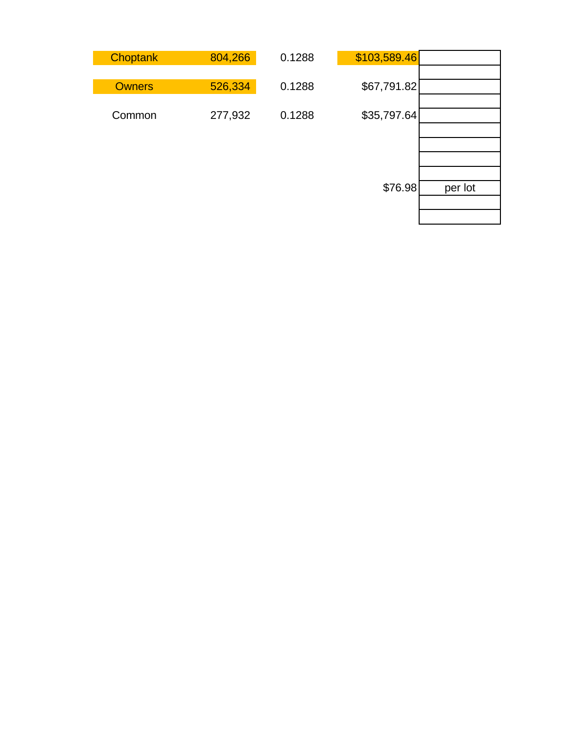